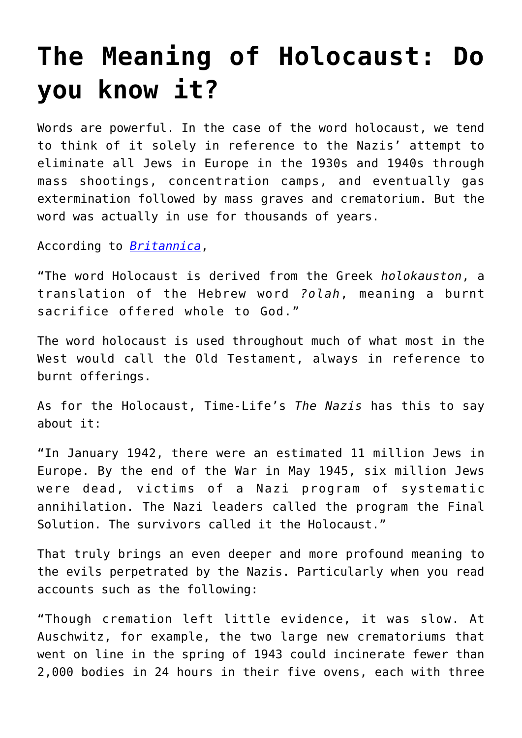## **[The Meaning of Holocaust: Do](https://intellectualtakeout.org/2016/03/the-meaning-of-holocaust-do-you-know-it/) [you know it?](https://intellectualtakeout.org/2016/03/the-meaning-of-holocaust-do-you-know-it/)**

Words are powerful. In the case of the word holocaust, we tend to think of it solely in reference to the Nazis' attempt to eliminate all Jews in Europe in the 1930s and 1940s through mass shootings, concentration camps, and eventually gas extermination followed by mass graves and crematorium. But the word was actually in use for thousands of years.

According to *[Britannica](http://www.britannica.com/event/Holocaust)*,

"The word Holocaust is derived from the Greek *holokauston*, a translation of the Hebrew word *?olah*, meaning a burnt sacrifice offered whole to God."

The word holocaust is used throughout much of what most in the West would call the Old Testament, always in reference to burnt offerings.

As for the Holocaust, Time-Life's *The Nazis* has this to say about it:

"In January 1942, there were an estimated 11 million Jews in Europe. By the end of the War in May 1945, six million Jews were dead, victims of a Nazi program of systematic annihilation. The Nazi leaders called the program the Final Solution. The survivors called it the Holocaust."

That truly brings an even deeper and more profound meaning to the evils perpetrated by the Nazis. Particularly when you read accounts such as the following:

"Though cremation left little evidence, it was slow. At Auschwitz, for example, the two large new crematoriums that went on line in the spring of 1943 could incinerate fewer than 2,000 bodies in 24 hours in their five ovens, each with three